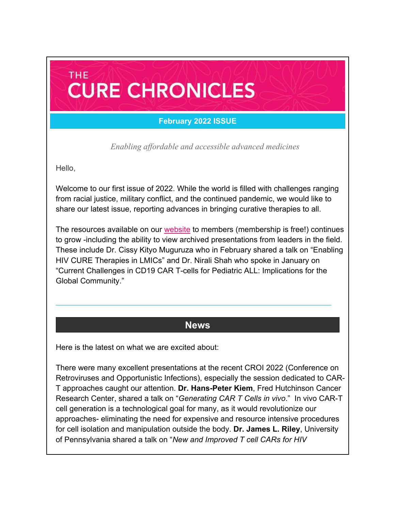### **February 2022 ISSUE**

**CURE CHRONICLES** 

*Enabling affordable and accessible advanced medicines*

Hello,

**THE** 

Welcome to our first issue of 2022. While the world is filled with challenges ranging from racial justice, military conflict, and the continued pandemic, we would like to share our latest issue, reporting advances in bringing curative therapies to all.

The resources available on our [website](https://caringcross.org/) to members (membership is free!) continues to grow -including the ability to view archived presentations from leaders in the field. These include Dr. Cissy Kityo Muguruza who in February shared a talk on "Enabling HIV CURE Therapies in LMICs" and Dr. Nirali Shah who spoke in January on "Current Challenges in CD19 CAR T-cells for Pediatric ALL: Implications for the Global Community."

### **News**

\_\_\_\_\_\_\_\_\_\_\_\_\_\_\_\_\_\_\_\_\_\_\_\_\_\_\_\_\_\_\_\_\_\_\_\_\_\_\_\_\_\_\_\_\_\_\_\_\_\_\_\_\_\_\_\_\_\_\_\_\_\_\_\_

Here is the latest on what we are excited about:

There were many excellent presentations at the recent CROI 2022 (Conference on Retroviruses and Opportunistic Infections), especially the session dedicated to CAR-T approaches caught our attention. **Dr. Hans-Peter Kiem**, Fred Hutchinson Cancer Research Center, shared a talk on "*Generating CAR T Cells in vivo*." In vivo CAR-T cell generation is a technological goal for many, as it would revolutionize our approaches- eliminating the need for expensive and resource intensive procedures for cell isolation and manipulation outside the body. **Dr. James L. Riley**, University of Pennsylvania shared a talk on "*New and Improved T cell CARs for HIV*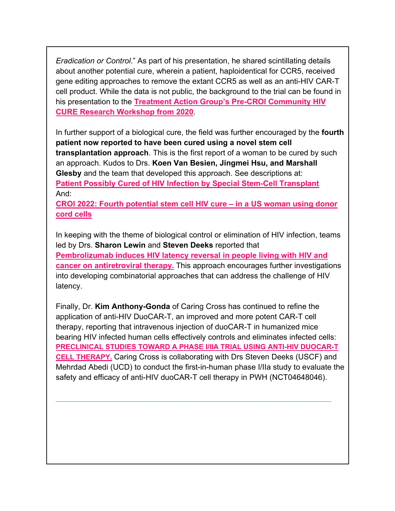*Eradication or Control*." As part of his presentation, he shared scintillating details about another potential cure, wherein a patient, haploidentical for CCR5, received gene editing approaches to remove the extant CCR5 as well as an anti-HIV CAR-T cell product. While the data is not public, the background to the trial can be found in his presentation to the **[Treatment Action Group's Pre-CROI Community HIV](https://www.treatmentactiongroup.org/wp-content/uploads/2020/03/pre_CROI_update_on_HIV_gene_therapy.pdf)  [CURE Research Workshop from 2020](https://www.treatmentactiongroup.org/wp-content/uploads/2020/03/pre_CROI_update_on_HIV_gene_therapy.pdf)**.

In further support of a biological cure, the field was further encouraged by the **fourth patient now reported to have been cured using a novel stem cell transplantation approach**. This is the first report of a woman to be cured by such an approach. Kudos to Drs. **Koen Van Besien, Jingmei Hsu, and Marshall Glesby** and the team that developed this approach. See descriptions at: **[Patient Possibly Cured of HIV Infection by Special Stem-Cell Transplant](https://news.weill.cornell.edu/news/2022/02/patient-possibly-cured-of-hiv-infection-by-special-stem-cell-transplant)** And:

**[CROI 2022: Fourth potential stem cell HIV cure –](https://www.eatg.org/hiv-news/croi-2022-potential-hiv-cure-case-in-a-us-woman-using-donor-cord-stem-cells/) in a US woman using donor [cord cells](https://www.eatg.org/hiv-news/croi-2022-potential-hiv-cure-case-in-a-us-woman-using-donor-cord-stem-cells/)**

In keeping with the theme of biological control or elimination of HIV infection, teams led by Drs. **Sharon Lewin** and **Steven Deeks** reported that **[Pembrolizumab induces HIV latency reversal in people living with HIV and](https://www.science.org/doi/10.1126/scitranslmed.abl3836)  [cancer on antiretroviral therapy.](https://www.science.org/doi/10.1126/scitranslmed.abl3836)** This approach encourages further investigations into developing combinatorial approaches that can address the challenge of HIV latency.

Finally, Dr. **Kim Anthony-Gonda** of Caring Cross has continued to refine the application of anti-HIV DuoCAR-T, an improved and more potent CAR-T cell therapy, reporting that intravenous injection of duoCAR-T in humanized mice bearing HIV infected human cells effectively controls and eliminates infected cells: **[PRECLINICAL STUDIES TOWARD A PHASE I/IIA TRIAL USING ANTI-HIV DUOCAR-T](https://caringcross.org/presentations/)  [CELL THERAPY.](https://caringcross.org/presentations/)** Caring Cross is collaborating with Drs Steven Deeks (USCF) and Mehrdad Abedi (UCD) to conduct the first-in-human phase I/IIa study to evaluate the safety and efficacy of anti-HIV duoCAR-T cell therapy in PWH (NCT04648046).

\_\_\_\_\_\_\_\_\_\_\_\_\_\_\_\_\_\_\_\_\_\_\_\_\_\_\_\_\_\_\_\_\_\_\_\_\_\_\_\_\_\_\_\_\_\_\_\_\_\_\_\_\_\_\_\_\_\_\_\_\_\_\_\_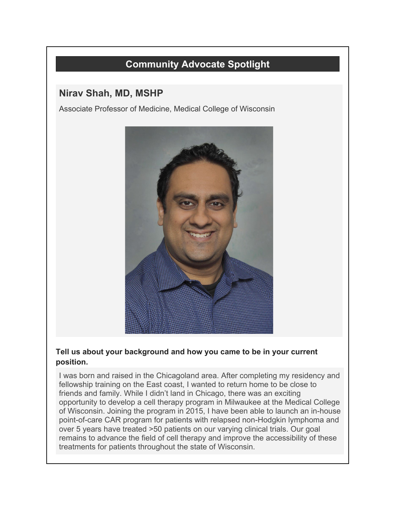# **Community Advocate Spotlight**

## **Nirav Shah, MD, MSHP**

Associate Professor of Medicine, Medical College of Wisconsin



#### **Tell us about your background and how you came to be in your current position.**

I was born and raised in the Chicagoland area. After completing my residency and fellowship training on the East coast, I wanted to return home to be close to friends and family. While I didn't land in Chicago, there was an exciting opportunity to develop a cell therapy program in Milwaukee at the Medical College of Wisconsin. Joining the program in 2015, I have been able to launch an in-house point-of-care CAR program for patients with relapsed non-Hodgkin lymphoma and over 5 years have treated >50 patients on our varying clinical trials. Our goal remains to advance the field of cell therapy and improve the accessibility of these treatments for patients throughout the state of Wisconsin.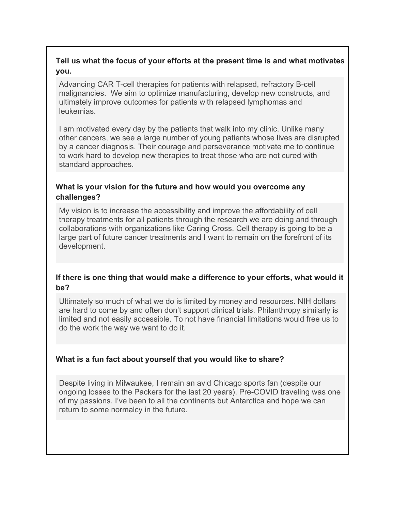#### **Tell us what the focus of your efforts at the present time is and what motivates you.**

Advancing CAR T-cell therapies for patients with relapsed, refractory B-cell malignancies. We aim to optimize manufacturing, develop new constructs, and ultimately improve outcomes for patients with relapsed lymphomas and leukemias.

I am motivated every day by the patients that walk into my clinic. Unlike many other cancers, we see a large number of young patients whose lives are disrupted by a cancer diagnosis. Their courage and perseverance motivate me to continue to work hard to develop new therapies to treat those who are not cured with standard approaches.

#### **What is your vision for the future and how would you overcome any challenges?**

My vision is to increase the accessibility and improve the affordability of cell therapy treatments for all patients through the research we are doing and through collaborations with organizations like Caring Cross. Cell therapy is going to be a large part of future cancer treatments and I want to remain on the forefront of its development.

#### **If there is one thing that would make a difference to your efforts, what would it be?**

Ultimately so much of what we do is limited by money and resources. NIH dollars are hard to come by and often don't support clinical trials. Philanthropy similarly is limited and not easily accessible. To not have financial limitations would free us to do the work the way we want to do it.

### **What is a fun fact about yourself that you would like to share?**

Despite living in Milwaukee, I remain an avid Chicago sports fan (despite our ongoing losses to the Packers for the last 20 years). Pre-COVID traveling was one of my passions. I've been to all the continents but Antarctica and hope we can return to some normalcy in the future.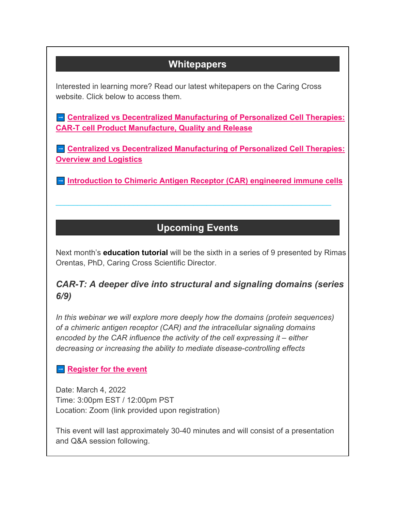# **Whitepapers**

Interested in learning more? Read our latest whitepapers on the Caring Cross website. Click below to access them.

 $\blacksquare$  Centralized vs Decentralized Manufacturing of Personalized Cell Therapies: **[CAR-T cell Product Manufacture, Quality and Release](https://caringcross.org/whitepapers/)**

 $\blacksquare$  **Centralized vs Decentralized Manufacturing of Personalized Cell Therapies: [Overview and Logistics](https://caringcross.org/whitepapers/)**

 $\blacksquare$  [Introduction to Chimeric Antigen Receptor \(CAR\) engineered immune cells](https://caringcross.org/whitepapers/)

# **Upcoming Events**

\_\_\_\_\_\_\_\_\_\_\_\_\_\_\_\_\_\_\_\_\_\_\_\_\_\_\_\_\_\_\_\_\_\_\_\_\_\_\_\_\_\_\_\_\_\_\_\_\_\_\_\_\_\_\_\_\_\_\_\_\_\_\_\_

Next month's **education tutorial** will be the sixth in a series of 9 presented by Rimas Orentas, PhD, Caring Cross Scientific Director.

## *CAR-T: A deeper dive into structural and signaling domains (series 6/9)*

*In this webinar we will explore more deeply how the domains (protein sequences) of a chimeric antigen receptor (CAR) and the intracellular signaling domains encoded by the CAR influence the activity of the cell expressing it – either decreasing or increasing the ability to mediate disease-controlling effects*

### $\blacksquare$  **[Register for the event](https://caringcross.org/events/)**

Date: March 4, 2022 Time: 3:00pm EST / 12:00pm PST Location: Zoom (link provided upon registration)

This event will last approximately 30-40 minutes and will consist of a presentation and Q&A session following.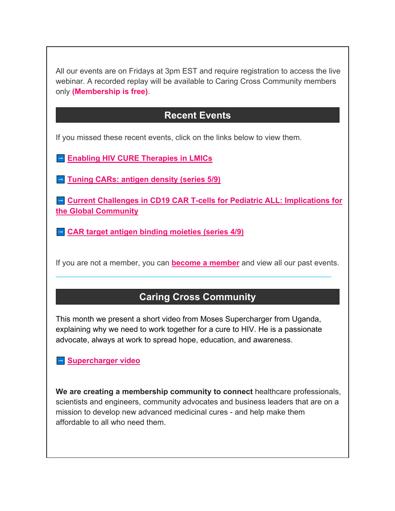All our events are on Fridays at 3pm EST and require registration to access the live webinar. A recorded replay will be available to Caring Cross Community members only **(Membership is free)**.

## **Recent Events**

If you missed these recent events, click on the links below to view them.

**Example 2 [Enabling HIV CURE Therapies in LMICs](https://caringcross.org/archives/)** 

 $\blacksquare$  **[Tuning CARs: antigen density \(series 5/9\)](https://caringcross.org/archives/)** 

 $\blacksquare$  Current Challenges in CD19 CAR T-cells for Pediatric ALL: Implications for **[the Global Community](https://caringcross.org/archives/)**

 $\blacksquare$  **[CAR target antigen binding moieties \(series 4/9\)](https://caringcross.org/archives/)** 

If you are not a member, you can **[become a member](https://caringcross.org/become-a-member/)** and view all our past events.

\_\_\_\_\_\_\_\_\_\_\_\_\_\_\_\_\_\_\_\_\_\_\_\_\_\_\_\_\_\_\_\_\_\_\_\_\_\_\_\_\_\_\_\_\_\_\_\_\_\_\_\_\_\_\_\_\_\_\_\_\_\_\_\_

## **Caring Cross Community**

This month we present a short video from Moses Supercharger from Uganda, explaining why we need to work together for a cure to HIV. He is a passionate advocate, always at work to spread hope, education, and awareness.

��� **[Supercharger video](https://youtu.be/HKNwE2hA-gc)**

**We are creating a membership community to connect** healthcare professionals, scientists and engineers, community advocates and business leaders that are on a mission to develop new advanced medicinal cures - and help make them affordable to all who need them.